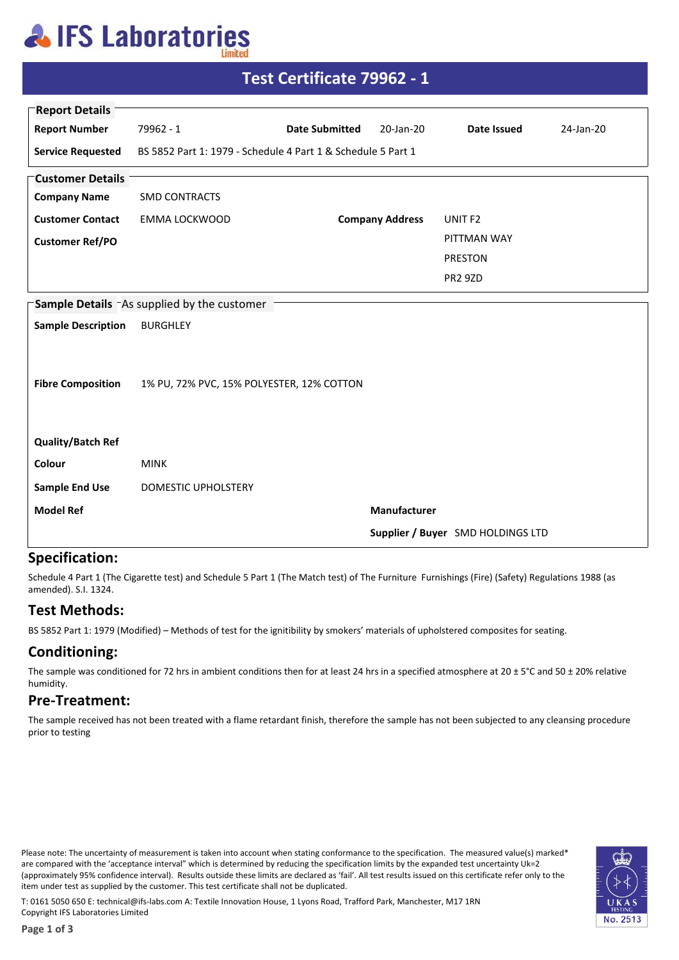## **AIFS Laboratories**

| <b>Report Details</b>                      |                                                              |                       |                        |                    |           |  |  |
|--------------------------------------------|--------------------------------------------------------------|-----------------------|------------------------|--------------------|-----------|--|--|
| <b>Report Number</b>                       | 79962 - 1                                                    | <b>Date Submitted</b> | 20-Jan-20              | Date Issued        | 24-Jan-20 |  |  |
| <b>Service Requested</b>                   | BS 5852 Part 1: 1979 - Schedule 4 Part 1 & Schedule 5 Part 1 |                       |                        |                    |           |  |  |
| <b>Customer Details</b>                    |                                                              |                       |                        |                    |           |  |  |
| <b>Company Name</b>                        | <b>SMD CONTRACTS</b>                                         |                       |                        |                    |           |  |  |
| <b>Customer Contact</b>                    | EMMA LOCKWOOD                                                |                       | <b>Company Address</b> | UNIT <sub>F2</sub> |           |  |  |
| <b>Customer Ref/PO</b>                     |                                                              |                       |                        | PITTMAN WAY        |           |  |  |
|                                            |                                                              |                       |                        | <b>PRESTON</b>     |           |  |  |
|                                            |                                                              |                       |                        | <b>PR2 9ZD</b>     |           |  |  |
| Sample Details As supplied by the customer |                                                              |                       |                        |                    |           |  |  |
| <b>Sample Description</b>                  | <b>BURGHLEY</b>                                              |                       |                        |                    |           |  |  |
|                                            |                                                              |                       |                        |                    |           |  |  |
| <b>Fibre Composition</b>                   | 1% PU, 72% PVC, 15% POLYESTER, 12% COTTON                    |                       |                        |                    |           |  |  |
|                                            |                                                              |                       |                        |                    |           |  |  |
| <b>Quality/Batch Ref</b>                   |                                                              |                       |                        |                    |           |  |  |
| Colour                                     | <b>MINK</b>                                                  |                       |                        |                    |           |  |  |
| <b>Sample End Use</b>                      | DOMESTIC UPHOLSTERY                                          |                       |                        |                    |           |  |  |
| <b>Model Ref</b>                           |                                                              |                       | Manufacturer           |                    |           |  |  |
|                                            | Supplier / Buyer SMD HOLDINGS LTD                            |                       |                        |                    |           |  |  |

**Test Certificate 79962 - 1**

#### **Specification:**

Schedule 4 Part 1 (The Cigarette test) and Schedule 5 Part 1 (The Match test) of The Furniture Furnishings (Fire) (Safety) Regulations 1988 (as amended). S.I. 1324.

### **Test Methods:**

BS 5852 Part 1: 1979 (Modified) – Methods of test for the ignitibility by smokers' materials of upholstered composites for seating.

### **Conditioning:**

The sample was conditioned for 72 hrs in ambient conditions then for at least 24 hrs in a specified atmosphere at 20 ± 5°C and 50 ± 20% relative humidity.

#### **Pre-Treatment:**

The sample received has not been treated with a flame retardant finish, therefore the sample has not been subjected to any cleansing procedure prior to testing

Please note: The uncertainty of measurement is taken into account when stating conformance to the specification. The measured value(s) marked\* are compared with the 'acceptance interval" which is determined by reducing the specification limits by the expanded test uncertainty Uk=2 (approximately 95% confidence interval). Results outside these limits are declared as 'fail'. All test results issued on this certificate refer only to the item under test as supplied by the customer. This test certificate shall not be duplicated.



T: 0161 5050 650 E: technical@ifs-labs.com A: Textile Innovation House, 1 Lyons Road, Trafford Park, Manchester, M17 1RN Copyright IFS Laboratories Limited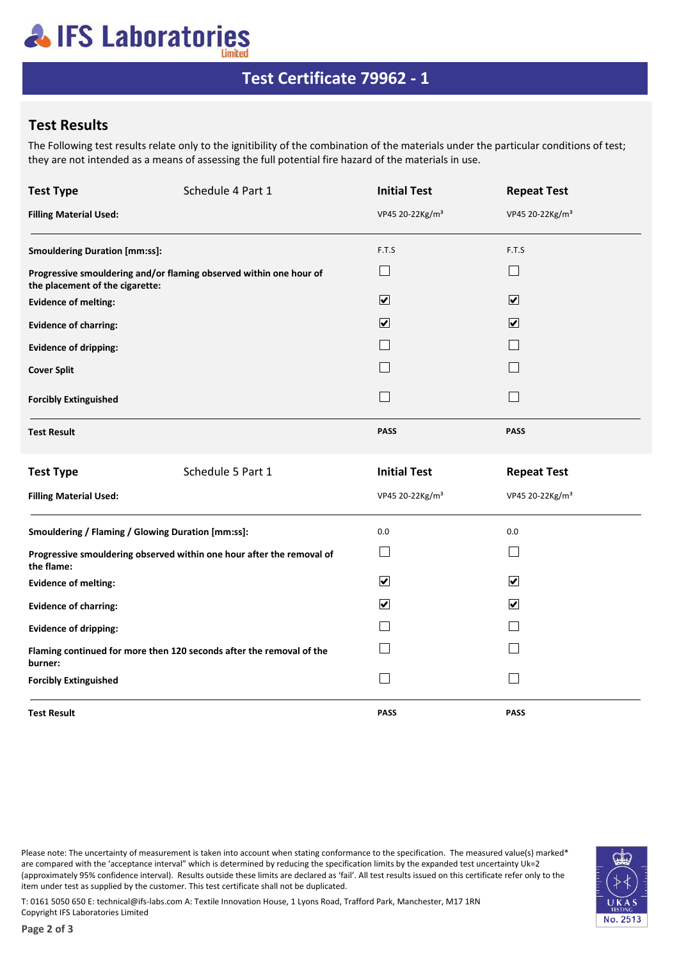## **AIFS Laboratories**

## **Test Certificate 79962 - 1**

### **Test Results**

The Following test results relate only to the ignitibility of the combination of the materials under the particular conditions of test; they are not intended as a means of assessing the full potential fire hazard of the materials in use.

| <b>Test Type</b>                                                                    | Schedule 4 Part 1                                                  | <b>Initial Test</b>          | <b>Repeat Test</b>          |  |
|-------------------------------------------------------------------------------------|--------------------------------------------------------------------|------------------------------|-----------------------------|--|
| <b>Filling Material Used:</b>                                                       |                                                                    | VP45 20-22Kg/m <sup>3</sup>  | VP45 20-22Kg/m <sup>3</sup> |  |
|                                                                                     | <b>Smouldering Duration [mm:ss]:</b><br>F.T.S<br>F.T.S             |                              |                             |  |
| the placement of the cigarette:                                                     | Progressive smouldering and/or flaming observed within one hour of | $\Box$                       | $\vert \ \ \vert$           |  |
| <b>Evidence of melting:</b>                                                         |                                                                    | $\boxed{\blacktriangledown}$ | $\overline{\mathbf{v}}$     |  |
| <b>Evidence of charring:</b>                                                        |                                                                    | $\overline{\mathbf{v}}$      | $\blacktriangledown$        |  |
| <b>Evidence of dripping:</b>                                                        |                                                                    |                              |                             |  |
| <b>Cover Split</b>                                                                  |                                                                    |                              |                             |  |
| <b>Forcibly Extinguished</b>                                                        |                                                                    | $\mathcal{L}$                |                             |  |
| <b>Test Result</b>                                                                  |                                                                    | <b>PASS</b>                  | <b>PASS</b>                 |  |
| <b>Test Type</b>                                                                    | Schedule 5 Part 1                                                  | <b>Initial Test</b>          | <b>Repeat Test</b>          |  |
| <b>Filling Material Used:</b>                                                       |                                                                    | VP45 20-22Kg/m <sup>3</sup>  | VP45 20-22Kg/m <sup>3</sup> |  |
|                                                                                     | Smouldering / Flaming / Glowing Duration [mm:ss]:                  | 0.0                          | 0.0                         |  |
| Progressive smouldering observed within one hour after the removal of<br>the flame: |                                                                    | $\vert \ \ \vert$            | $\vert \ \ \vert$           |  |
| <b>Evidence of melting:</b>                                                         |                                                                    | $\overline{\mathbf{v}}$      | $\blacktriangledown$        |  |
| <b>Evidence of charring:</b>                                                        |                                                                    | $\blacktriangledown$         | $\blacktriangledown$        |  |
| <b>Evidence of dripping:</b>                                                        |                                                                    |                              |                             |  |
| Flaming continued for more then 120 seconds after the removal of the<br>burner:     |                                                                    |                              |                             |  |
| <b>Forcibly Extinguished</b>                                                        |                                                                    | $\mathcal{L}$                |                             |  |
| <b>Test Result</b>                                                                  |                                                                    | <b>PASS</b>                  | <b>PASS</b>                 |  |

Please note: The uncertainty of measurement is taken into account when stating conformance to the specification. The measured value(s) marked\* are compared with the 'acceptance interval" which is determined by reducing the specification limits by the expanded test uncertainty Uk=2 (approximately 95% confidence interval). Results outside these limits are declared as 'fail'. All test results issued on this certificate refer only to the item under test as supplied by the customer. This test certificate shall not be duplicated.



T: 0161 5050 650 E: technical@ifs-labs.com A: Textile Innovation House, 1 Lyons Road, Trafford Park, Manchester, M17 1RN Copyright IFS Laboratories Limited